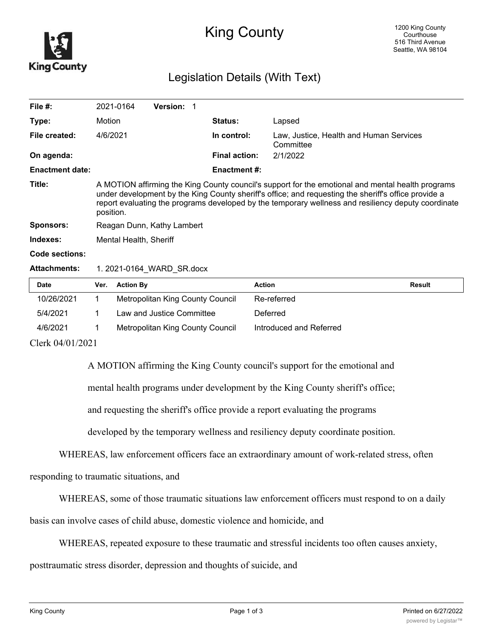

## King County

## Legislation Details (With Text)

| File $#$ :             | 2021-0164                                                                                                                                                                                                                                                                                                                     | <b>Version: 1</b> |  |                      |                                                      |  |  |
|------------------------|-------------------------------------------------------------------------------------------------------------------------------------------------------------------------------------------------------------------------------------------------------------------------------------------------------------------------------|-------------------|--|----------------------|------------------------------------------------------|--|--|
| Type:                  | Motion                                                                                                                                                                                                                                                                                                                        |                   |  | <b>Status:</b>       | Lapsed                                               |  |  |
| File created:          | 4/6/2021                                                                                                                                                                                                                                                                                                                      |                   |  | In control:          | Law, Justice, Health and Human Services<br>Committee |  |  |
| On agenda:             |                                                                                                                                                                                                                                                                                                                               |                   |  | <b>Final action:</b> | 2/1/2022                                             |  |  |
| <b>Enactment date:</b> |                                                                                                                                                                                                                                                                                                                               |                   |  | <b>Enactment #:</b>  |                                                      |  |  |
| Title:                 | A MOTION affirming the King County council's support for the emotional and mental health programs<br>under development by the King County sheriff's office; and requesting the sheriff's office provide a<br>report evaluating the programs developed by the temporary wellness and resiliency deputy coordinate<br>position. |                   |  |                      |                                                      |  |  |
| <b>Sponsors:</b>       | Reagan Dunn, Kathy Lambert                                                                                                                                                                                                                                                                                                    |                   |  |                      |                                                      |  |  |
| Indexes:               | Mental Health, Sheriff                                                                                                                                                                                                                                                                                                        |                   |  |                      |                                                      |  |  |
| Code sections:         |                                                                                                                                                                                                                                                                                                                               |                   |  |                      |                                                      |  |  |
| <b>Attachments:</b>    | 1. 2021-0164 WARD SR.docx                                                                                                                                                                                                                                                                                                     |                   |  |                      |                                                      |  |  |

| <b>Date</b> | Ver. | <b>Action By</b>                 | Action                  | Result |
|-------------|------|----------------------------------|-------------------------|--------|
| 10/26/2021  |      | Metropolitan King County Council | Re-referred             |        |
| 5/4/2021    |      | Law and Justice Committee        | Deferred                |        |
| 4/6/2021    |      | Metropolitan King County Council | Introduced and Referred |        |

Clerk 04/01/2021

A MOTION affirming the King County council's support for the emotional and

mental health programs under development by the King County sheriff's office;

and requesting the sheriff's office provide a report evaluating the programs

developed by the temporary wellness and resiliency deputy coordinate position.

WHEREAS, law enforcement officers face an extraordinary amount of work-related stress, often

responding to traumatic situations, and

WHEREAS, some of those traumatic situations law enforcement officers must respond to on a daily

basis can involve cases of child abuse, domestic violence and homicide, and

WHEREAS, repeated exposure to these traumatic and stressful incidents too often causes anxiety,

posttraumatic stress disorder, depression and thoughts of suicide, and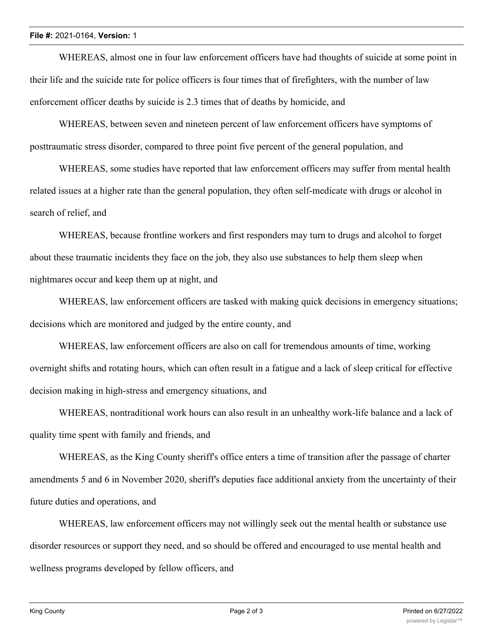WHEREAS, almost one in four law enforcement officers have had thoughts of suicide at some point in their life and the suicide rate for police officers is four times that of firefighters, with the number of law enforcement officer deaths by suicide is 2.3 times that of deaths by homicide, and

WHEREAS, between seven and nineteen percent of law enforcement officers have symptoms of posttraumatic stress disorder, compared to three point five percent of the general population, and

WHEREAS, some studies have reported that law enforcement officers may suffer from mental health related issues at a higher rate than the general population, they often self-medicate with drugs or alcohol in search of relief, and

WHEREAS, because frontline workers and first responders may turn to drugs and alcohol to forget about these traumatic incidents they face on the job, they also use substances to help them sleep when nightmares occur and keep them up at night, and

WHEREAS, law enforcement officers are tasked with making quick decisions in emergency situations; decisions which are monitored and judged by the entire county, and

WHEREAS, law enforcement officers are also on call for tremendous amounts of time, working overnight shifts and rotating hours, which can often result in a fatigue and a lack of sleep critical for effective decision making in high-stress and emergency situations, and

WHEREAS, nontraditional work hours can also result in an unhealthy work-life balance and a lack of quality time spent with family and friends, and

WHEREAS, as the King County sheriff's office enters a time of transition after the passage of charter amendments 5 and 6 in November 2020, sheriff's deputies face additional anxiety from the uncertainty of their future duties and operations, and

WHEREAS, law enforcement officers may not willingly seek out the mental health or substance use disorder resources or support they need, and so should be offered and encouraged to use mental health and wellness programs developed by fellow officers, and